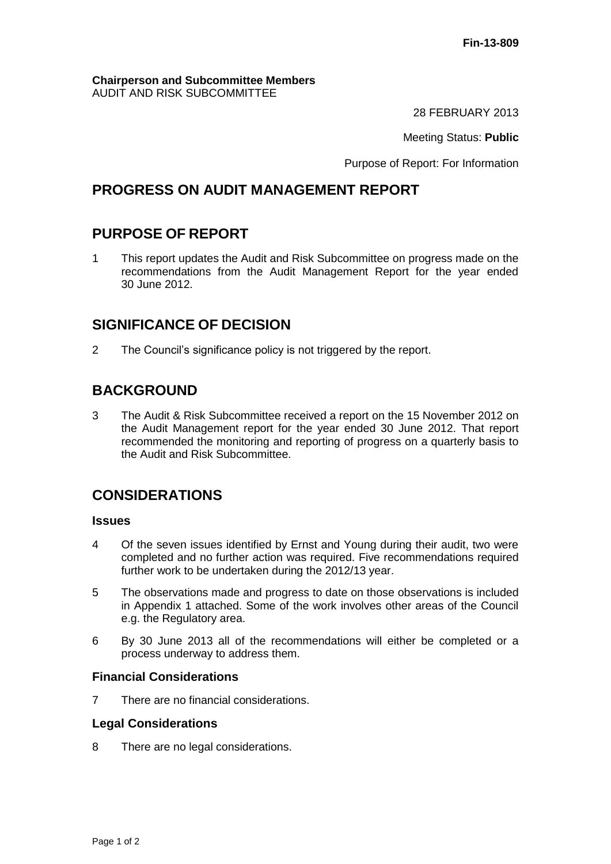#### **Chairperson and Subcommittee Members** AUDIT AND RISK SUBCOMMITTEE

28 FEBRUARY 2013

Meeting Status: **Public**

Purpose of Report: For Information

## **PROGRESS ON AUDIT MANAGEMENT REPORT**

## **PURPOSE OF REPORT**

1 This report updates the Audit and Risk Subcommittee on progress made on the recommendations from the Audit Management Report for the year ended 30 June 2012.

## **SIGNIFICANCE OF DECISION**

2 The Council's significance policy is not triggered by the report.

# **BACKGROUND**

3 The Audit & Risk Subcommittee received a report on the 15 November 2012 on the Audit Management report for the year ended 30 June 2012. That report recommended the monitoring and reporting of progress on a quarterly basis to the Audit and Risk Subcommittee.

## **CONSIDERATIONS**

#### **Issues**

- 4 Of the seven issues identified by Ernst and Young during their audit, two were completed and no further action was required. Five recommendations required further work to be undertaken during the 2012/13 year.
- 5 The observations made and progress to date on those observations is included in Appendix 1 attached. Some of the work involves other areas of the Council e.g. the Regulatory area.
- 6 By 30 June 2013 all of the recommendations will either be completed or a process underway to address them.

#### **Financial Considerations**

7 There are no financial considerations.

#### **Legal Considerations**

8 There are no legal considerations.